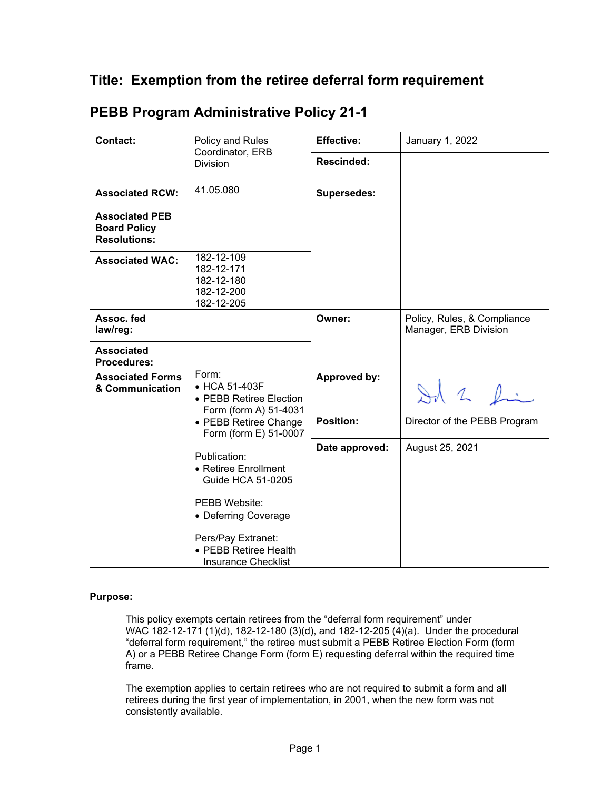## **Title: Exemption from the retiree deferral form requirement**

| <b>Contact:</b>                                                     | Policy and Rules                                                                                                                                                                       | <b>Effective:</b>  | January 1, 2022                                      |
|---------------------------------------------------------------------|----------------------------------------------------------------------------------------------------------------------------------------------------------------------------------------|--------------------|------------------------------------------------------|
|                                                                     | Coordinator, ERB<br><b>Division</b>                                                                                                                                                    | <b>Rescinded:</b>  |                                                      |
| <b>Associated RCW:</b>                                              | 41.05.080                                                                                                                                                                              | <b>Supersedes:</b> |                                                      |
| <b>Associated PEB</b><br><b>Board Policy</b><br><b>Resolutions:</b> |                                                                                                                                                                                        |                    |                                                      |
| <b>Associated WAC:</b>                                              | 182-12-109<br>182-12-171<br>182-12-180<br>182-12-200<br>182-12-205                                                                                                                     |                    |                                                      |
| Assoc. fed<br>law/reg:                                              |                                                                                                                                                                                        | Owner:             | Policy, Rules, & Compliance<br>Manager, ERB Division |
| <b>Associated</b><br><b>Procedures:</b>                             |                                                                                                                                                                                        |                    |                                                      |
| <b>Associated Forms</b><br>& Communication                          | Form:<br>$\bullet$ HCA 51-403F<br>• PEBB Retiree Election<br>Form (form A) 51-4031                                                                                                     | Approved by:       | Id 2 fin                                             |
|                                                                     | • PEBB Retiree Change<br>Form (form E) 51-0007                                                                                                                                         | <b>Position:</b>   | Director of the PEBB Program                         |
|                                                                     | Publication:<br>• Retiree Enrollment<br><b>Guide HCA 51-0205</b><br>PEBB Website:<br>• Deferring Coverage<br>Pers/Pay Extranet:<br>• PEBB Retiree Health<br><b>Insurance Checklist</b> | Date approved:     | August 25, 2021                                      |

## **PEBB Program Administrative Policy 21-1**

## **Purpose:**

This policy exempts certain retirees from the "deferral form requirement" under WAC 182-12-171 (1)(d), 182-12-180 (3)(d), and 182-12-205 (4)(a). Under the procedural "deferral form requirement," the retiree must submit a PEBB Retiree Election Form (form A) or a PEBB Retiree Change Form (form E) requesting deferral within the required time frame.

The exemption applies to certain retirees who are not required to submit a form and all retirees during the first year of implementation, in 2001, when the new form was not consistently available.